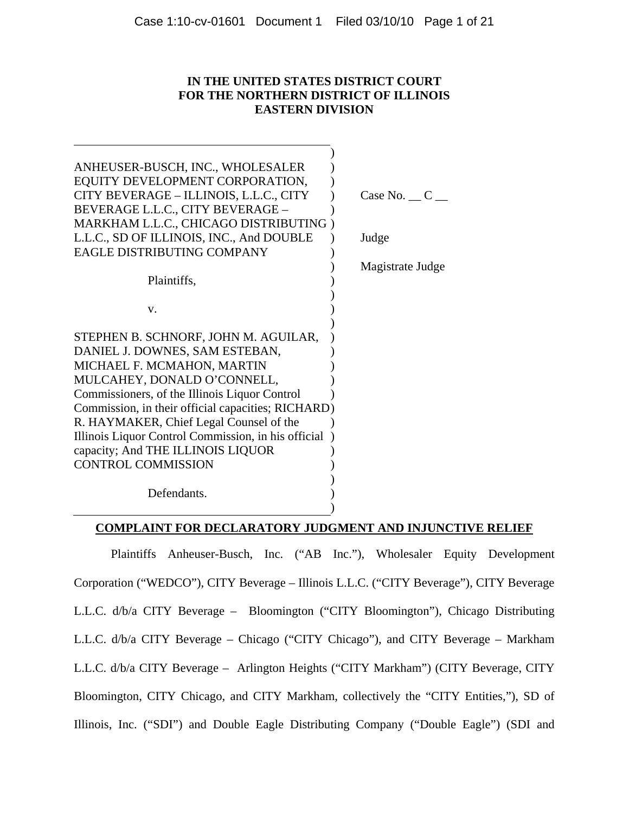# **IN THE UNITED STATES DISTRICT COURT FOR THE NORTHERN DISTRICT OF ILLINOIS EASTERN DIVISION**

| ANHEUSER-BUSCH, INC., WHOLESALER<br>EQUITY DEVELOPMENT CORPORATION,<br>CITY BEVERAGE - ILLINOIS, L.L.C., CITY<br>BEVERAGE L.L.C., CITY BEVERAGE -                                                                                                                                                                                                                                                              | Case No. $\_\mathbb{C}$ |
|----------------------------------------------------------------------------------------------------------------------------------------------------------------------------------------------------------------------------------------------------------------------------------------------------------------------------------------------------------------------------------------------------------------|-------------------------|
| MARKHAM L.L.C., CHICAGO DISTRIBUTING)<br>L.L.C., SD OF ILLINOIS, INC., And DOUBLE<br>EAGLE DISTRIBUTING COMPANY                                                                                                                                                                                                                                                                                                | Judge                   |
| Plaintiffs,                                                                                                                                                                                                                                                                                                                                                                                                    | Magistrate Judge        |
| V.                                                                                                                                                                                                                                                                                                                                                                                                             |                         |
| STEPHEN B. SCHNORF, JOHN M. AGUILAR,<br>DANIEL J. DOWNES, SAM ESTEBAN,<br>MICHAEL F. MCMAHON, MARTIN<br>MULCAHEY, DONALD O'CONNELL,<br>Commissioners, of the Illinois Liquor Control<br>Commission, in their official capacities; RICHARD)<br>R. HAYMAKER, Chief Legal Counsel of the<br>Illinois Liquor Control Commission, in his official<br>capacity; And THE ILLINOIS LIQUOR<br><b>CONTROL COMMISSION</b> |                         |
| Defendants.                                                                                                                                                                                                                                                                                                                                                                                                    |                         |

# **COMPLAINT FOR DECLARATORY JUDGMENT AND INJUNCTIVE RELIEF**

Plaintiffs Anheuser-Busch, Inc. ("AB Inc."), Wholesaler Equity Development Corporation ("WEDCO"), CITY Beverage – Illinois L.L.C. ("CITY Beverage"), CITY Beverage L.L.C. d/b/a CITY Beverage – Bloomington ("CITY Bloomington"), Chicago Distributing L.L.C. d/b/a CITY Beverage – Chicago ("CITY Chicago"), and CITY Beverage – Markham L.L.C. d/b/a CITY Beverage – Arlington Heights ("CITY Markham") (CITY Beverage, CITY Bloomington, CITY Chicago, and CITY Markham, collectively the "CITY Entities,"), SD of Illinois, Inc. ("SDI") and Double Eagle Distributing Company ("Double Eagle") (SDI and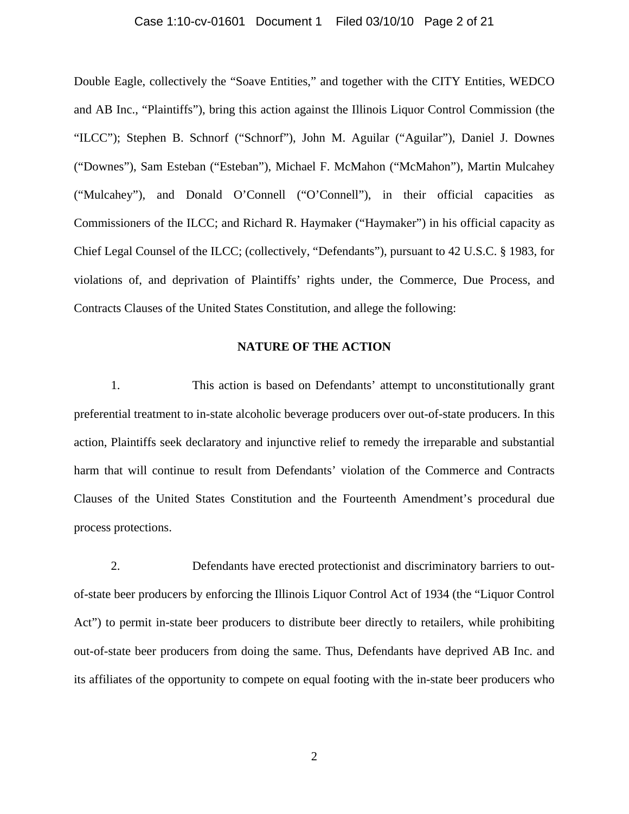## Case 1:10-cv-01601 Document 1 Filed 03/10/10 Page 2 of 21

Double Eagle, collectively the "Soave Entities," and together with the CITY Entities, WEDCO and AB Inc., "Plaintiffs"), bring this action against the Illinois Liquor Control Commission (the "ILCC"); Stephen B. Schnorf ("Schnorf"), John M. Aguilar ("Aguilar"), Daniel J. Downes ("Downes"), Sam Esteban ("Esteban"), Michael F. McMahon ("McMahon"), Martin Mulcahey ("Mulcahey"), and Donald O'Connell ("O'Connell"), in their official capacities as Commissioners of the ILCC; and Richard R. Haymaker ("Haymaker") in his official capacity as Chief Legal Counsel of the ILCC; (collectively, "Defendants"), pursuant to 42 U.S.C. § 1983, for violations of, and deprivation of Plaintiffs' rights under, the Commerce, Due Process, and Contracts Clauses of the United States Constitution, and allege the following:

# **NATURE OF THE ACTION**

1. This action is based on Defendants' attempt to unconstitutionally grant preferential treatment to in-state alcoholic beverage producers over out-of-state producers. In this action, Plaintiffs seek declaratory and injunctive relief to remedy the irreparable and substantial harm that will continue to result from Defendants' violation of the Commerce and Contracts Clauses of the United States Constitution and the Fourteenth Amendment's procedural due process protections.

2. Defendants have erected protectionist and discriminatory barriers to outof-state beer producers by enforcing the Illinois Liquor Control Act of 1934 (the "Liquor Control Act") to permit in-state beer producers to distribute beer directly to retailers, while prohibiting out-of-state beer producers from doing the same. Thus, Defendants have deprived AB Inc. and its affiliates of the opportunity to compete on equal footing with the in-state beer producers who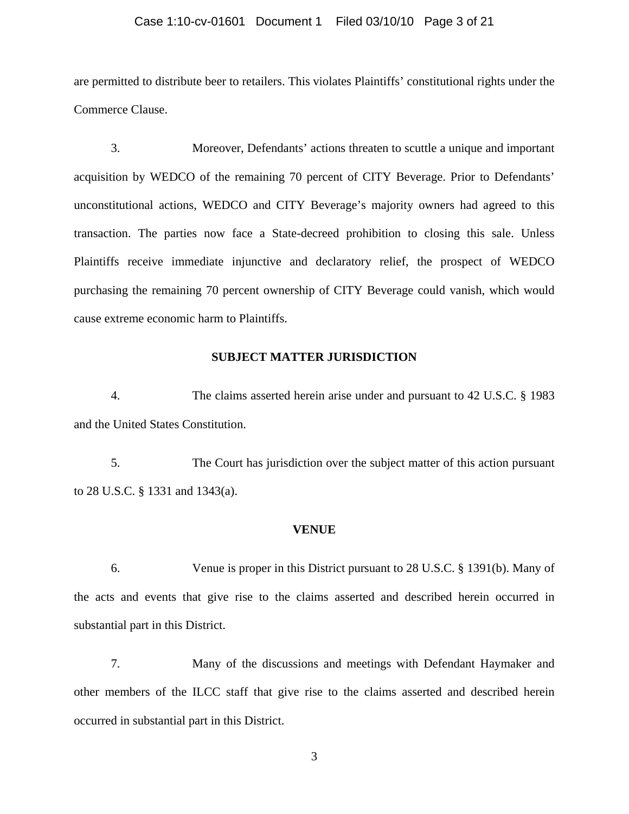## Case 1:10-cv-01601 Document 1 Filed 03/10/10 Page 3 of 21

are permitted to distribute beer to retailers. This violates Plaintiffs' constitutional rights under the Commerce Clause.

3. Moreover, Defendants' actions threaten to scuttle a unique and important acquisition by WEDCO of the remaining 70 percent of CITY Beverage. Prior to Defendants' unconstitutional actions, WEDCO and CITY Beverage's majority owners had agreed to this transaction. The parties now face a State-decreed prohibition to closing this sale. Unless Plaintiffs receive immediate injunctive and declaratory relief, the prospect of WEDCO purchasing the remaining 70 percent ownership of CITY Beverage could vanish, which would cause extreme economic harm to Plaintiffs.

# **SUBJECT MATTER JURISDICTION**

4. The claims asserted herein arise under and pursuant to 42 U.S.C. § 1983 and the United States Constitution.

5. The Court has jurisdiction over the subject matter of this action pursuant to 28 U.S.C. § 1331 and 1343(a).

#### **VENUE**

6. Venue is proper in this District pursuant to 28 U.S.C. § 1391(b). Many of the acts and events that give rise to the claims asserted and described herein occurred in substantial part in this District.

7. Many of the discussions and meetings with Defendant Haymaker and other members of the ILCC staff that give rise to the claims asserted and described herein occurred in substantial part in this District.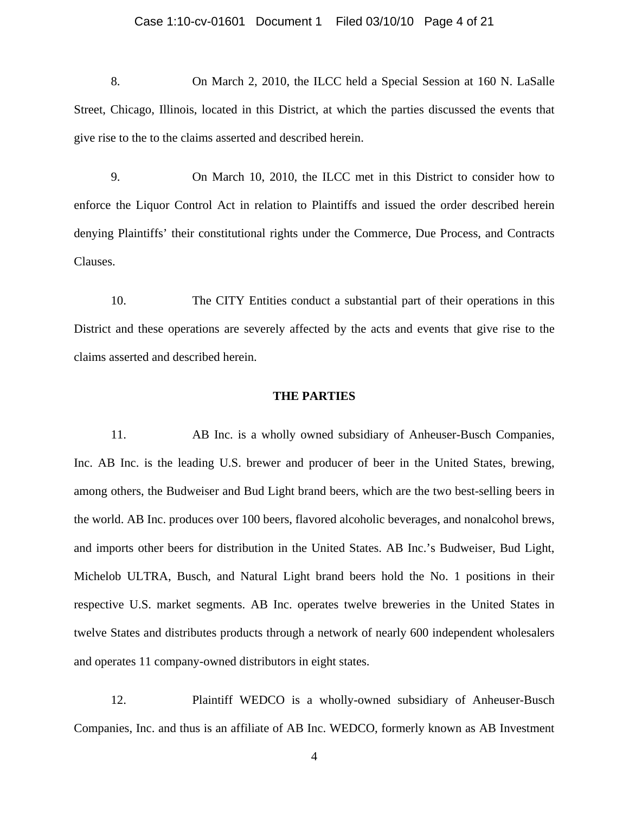## Case 1:10-cv-01601 Document 1 Filed 03/10/10 Page 4 of 21

8. On March 2, 2010, the ILCC held a Special Session at 160 N. LaSalle Street, Chicago, Illinois, located in this District, at which the parties discussed the events that give rise to the to the claims asserted and described herein.

9. On March 10, 2010, the ILCC met in this District to consider how to enforce the Liquor Control Act in relation to Plaintiffs and issued the order described herein denying Plaintiffs' their constitutional rights under the Commerce, Due Process, and Contracts Clauses.

10. The CITY Entities conduct a substantial part of their operations in this District and these operations are severely affected by the acts and events that give rise to the claims asserted and described herein.

# **THE PARTIES**

11. AB Inc. is a wholly owned subsidiary of Anheuser-Busch Companies, Inc. AB Inc. is the leading U.S. brewer and producer of beer in the United States, brewing, among others, the Budweiser and Bud Light brand beers, which are the two best-selling beers in the world. AB Inc. produces over 100 beers, flavored alcoholic beverages, and nonalcohol brews, and imports other beers for distribution in the United States. AB Inc.'s Budweiser, Bud Light, Michelob ULTRA, Busch, and Natural Light brand beers hold the No. 1 positions in their respective U.S. market segments. AB Inc. operates twelve breweries in the United States in twelve States and distributes products through a network of nearly 600 independent wholesalers and operates 11 company-owned distributors in eight states.

12. Plaintiff WEDCO is a wholly-owned subsidiary of Anheuser-Busch Companies, Inc. and thus is an affiliate of AB Inc. WEDCO, formerly known as AB Investment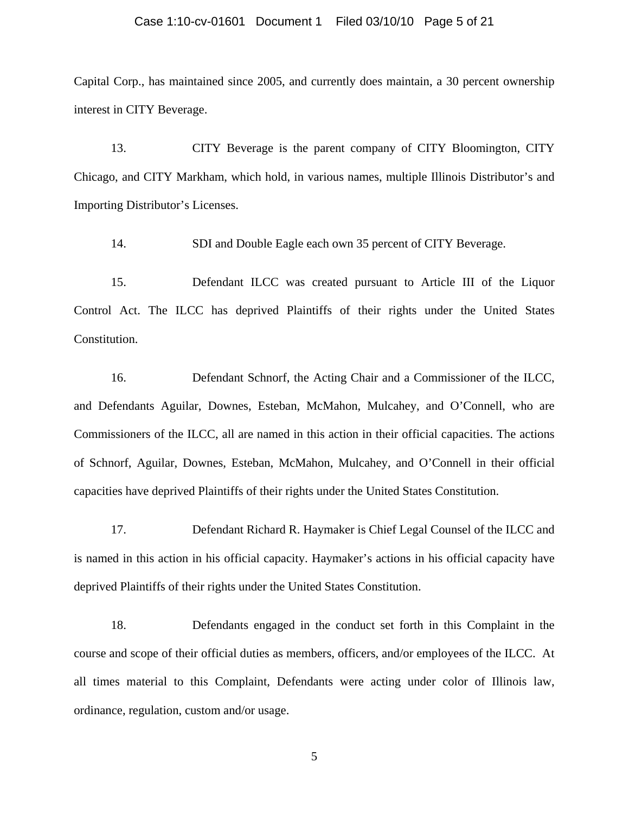## Case 1:10-cv-01601 Document 1 Filed 03/10/10 Page 5 of 21

Capital Corp., has maintained since 2005, and currently does maintain, a 30 percent ownership interest in CITY Beverage.

13. CITY Beverage is the parent company of CITY Bloomington, CITY Chicago, and CITY Markham, which hold, in various names, multiple Illinois Distributor's and Importing Distributor's Licenses.

14. SDI and Double Eagle each own 35 percent of CITY Beverage.

15. Defendant ILCC was created pursuant to Article III of the Liquor Control Act. The ILCC has deprived Plaintiffs of their rights under the United States Constitution.

16. Defendant Schnorf, the Acting Chair and a Commissioner of the ILCC, and Defendants Aguilar, Downes, Esteban, McMahon, Mulcahey, and O'Connell, who are Commissioners of the ILCC, all are named in this action in their official capacities. The actions of Schnorf, Aguilar, Downes, Esteban, McMahon, Mulcahey, and O'Connell in their official capacities have deprived Plaintiffs of their rights under the United States Constitution.

17. Defendant Richard R. Haymaker is Chief Legal Counsel of the ILCC and is named in this action in his official capacity. Haymaker's actions in his official capacity have deprived Plaintiffs of their rights under the United States Constitution.

18. Defendants engaged in the conduct set forth in this Complaint in the course and scope of their official duties as members, officers, and/or employees of the ILCC. At all times material to this Complaint, Defendants were acting under color of Illinois law, ordinance, regulation, custom and/or usage.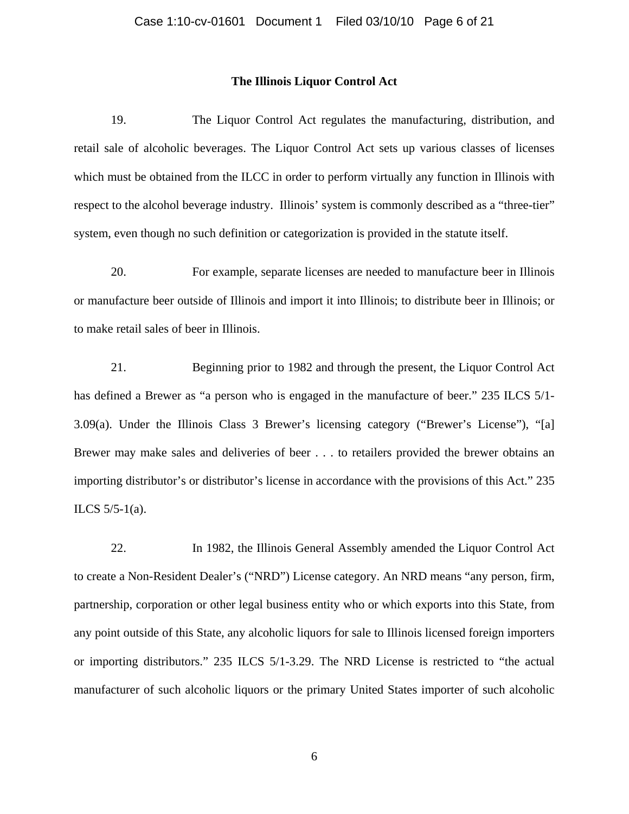# **The Illinois Liquor Control Act**

19. The Liquor Control Act regulates the manufacturing, distribution, and retail sale of alcoholic beverages. The Liquor Control Act sets up various classes of licenses which must be obtained from the ILCC in order to perform virtually any function in Illinois with respect to the alcohol beverage industry. Illinois' system is commonly described as a "three-tier" system, even though no such definition or categorization is provided in the statute itself.

20. For example, separate licenses are needed to manufacture beer in Illinois or manufacture beer outside of Illinois and import it into Illinois; to distribute beer in Illinois; or to make retail sales of beer in Illinois.

21. Beginning prior to 1982 and through the present, the Liquor Control Act has defined a Brewer as "a person who is engaged in the manufacture of beer." 235 ILCS 5/1-3.09(a). Under the Illinois Class 3 Brewer's licensing category ("Brewer's License"), "[a] Brewer may make sales and deliveries of beer . . . to retailers provided the brewer obtains an importing distributor's or distributor's license in accordance with the provisions of this Act." 235 ILCS 5/5-1(a).

22. In 1982, the Illinois General Assembly amended the Liquor Control Act to create a Non-Resident Dealer's ("NRD") License category. An NRD means "any person, firm, partnership, corporation or other legal business entity who or which exports into this State, from any point outside of this State, any alcoholic liquors for sale to Illinois licensed foreign importers or importing distributors." 235 ILCS 5/1-3.29. The NRD License is restricted to "the actual manufacturer of such alcoholic liquors or the primary United States importer of such alcoholic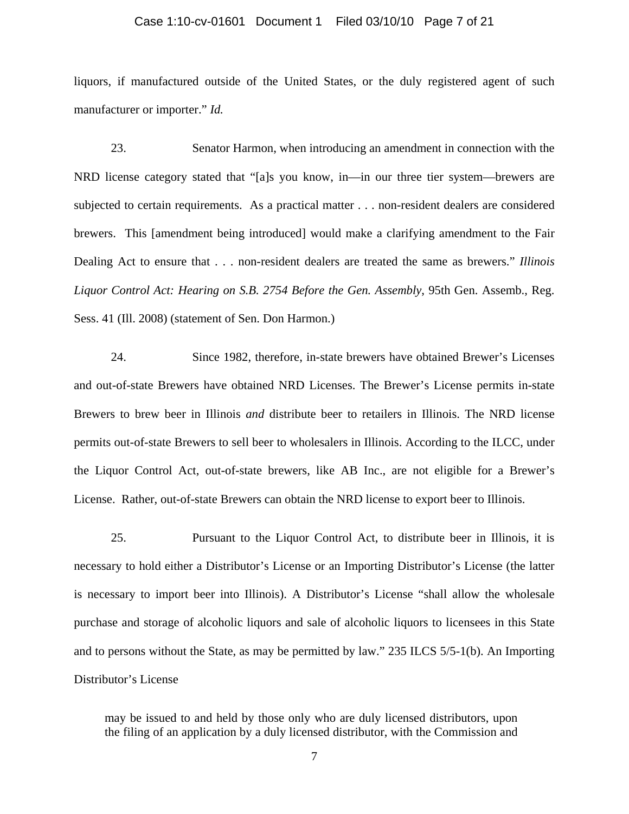## Case 1:10-cv-01601 Document 1 Filed 03/10/10 Page 7 of 21

liquors, if manufactured outside of the United States, or the duly registered agent of such manufacturer or importer." *Id.*

23. Senator Harmon, when introducing an amendment in connection with the NRD license category stated that "[a]s you know, in—in our three tier system—brewers are subjected to certain requirements. As a practical matter . . . non-resident dealers are considered brewers. This [amendment being introduced] would make a clarifying amendment to the Fair Dealing Act to ensure that . . . non-resident dealers are treated the same as brewers." *Illinois Liquor Control Act: Hearing on S.B. 2754 Before the Gen. Assembly*, 95th Gen. Assemb., Reg. Sess. 41 (Ill. 2008) (statement of Sen. Don Harmon.)

24. Since 1982, therefore, in-state brewers have obtained Brewer's Licenses and out-of-state Brewers have obtained NRD Licenses. The Brewer's License permits in-state Brewers to brew beer in Illinois *and* distribute beer to retailers in Illinois. The NRD license permits out-of-state Brewers to sell beer to wholesalers in Illinois. According to the ILCC, under the Liquor Control Act, out-of-state brewers, like AB Inc., are not eligible for a Brewer's License. Rather, out-of-state Brewers can obtain the NRD license to export beer to Illinois.

25. Pursuant to the Liquor Control Act, to distribute beer in Illinois, it is necessary to hold either a Distributor's License or an Importing Distributor's License (the latter is necessary to import beer into Illinois). A Distributor's License "shall allow the wholesale purchase and storage of alcoholic liquors and sale of alcoholic liquors to licensees in this State and to persons without the State, as may be permitted by law." 235 ILCS 5/5-1(b). An Importing Distributor's License

may be issued to and held by those only who are duly licensed distributors, upon the filing of an application by a duly licensed distributor, with the Commission and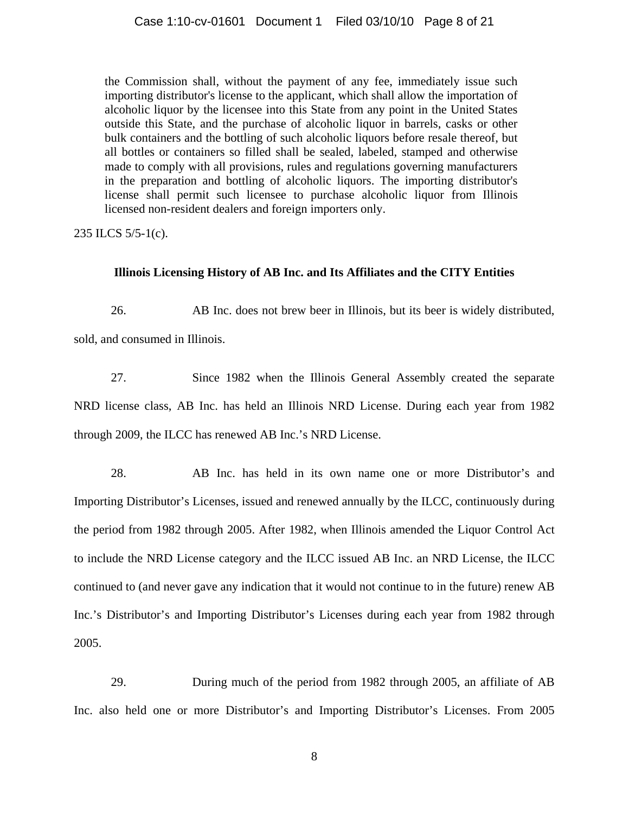the Commission shall, without the payment of any fee, immediately issue such importing distributor's license to the applicant, which shall allow the importation of alcoholic liquor by the licensee into this State from any point in the United States outside this State, and the purchase of alcoholic liquor in barrels, casks or other bulk containers and the bottling of such alcoholic liquors before resale thereof, but all bottles or containers so filled shall be sealed, labeled, stamped and otherwise made to comply with all provisions, rules and regulations governing manufacturers in the preparation and bottling of alcoholic liquors. The importing distributor's license shall permit such licensee to purchase alcoholic liquor from Illinois licensed non-resident dealers and foreign importers only.

235 ILCS 5/5-1(c).

# **Illinois Licensing History of AB Inc. and Its Affiliates and the CITY Entities**

26. AB Inc. does not brew beer in Illinois, but its beer is widely distributed, sold, and consumed in Illinois.

27. Since 1982 when the Illinois General Assembly created the separate NRD license class, AB Inc. has held an Illinois NRD License. During each year from 1982 through 2009, the ILCC has renewed AB Inc.'s NRD License.

28. AB Inc. has held in its own name one or more Distributor's and Importing Distributor's Licenses, issued and renewed annually by the ILCC, continuously during the period from 1982 through 2005. After 1982, when Illinois amended the Liquor Control Act to include the NRD License category and the ILCC issued AB Inc. an NRD License, the ILCC continued to (and never gave any indication that it would not continue to in the future) renew AB Inc.'s Distributor's and Importing Distributor's Licenses during each year from 1982 through 2005.

29. During much of the period from 1982 through 2005, an affiliate of AB Inc. also held one or more Distributor's and Importing Distributor's Licenses. From 2005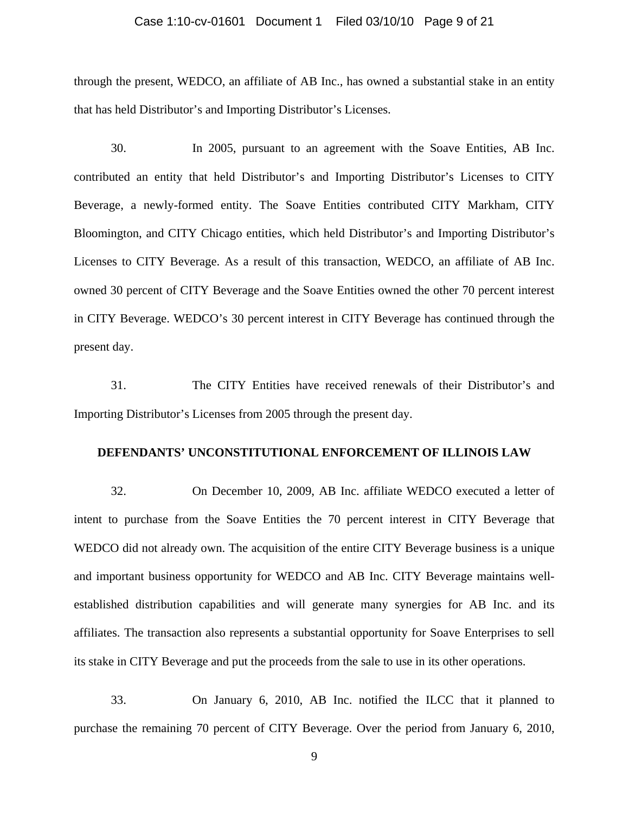## Case 1:10-cv-01601 Document 1 Filed 03/10/10 Page 9 of 21

through the present, WEDCO, an affiliate of AB Inc., has owned a substantial stake in an entity that has held Distributor's and Importing Distributor's Licenses.

30. In 2005, pursuant to an agreement with the Soave Entities, AB Inc. contributed an entity that held Distributor's and Importing Distributor's Licenses to CITY Beverage, a newly-formed entity. The Soave Entities contributed CITY Markham, CITY Bloomington, and CITY Chicago entities, which held Distributor's and Importing Distributor's Licenses to CITY Beverage. As a result of this transaction, WEDCO, an affiliate of AB Inc. owned 30 percent of CITY Beverage and the Soave Entities owned the other 70 percent interest in CITY Beverage. WEDCO's 30 percent interest in CITY Beverage has continued through the present day.

31. The CITY Entities have received renewals of their Distributor's and Importing Distributor's Licenses from 2005 through the present day.

# **DEFENDANTS' UNCONSTITUTIONAL ENFORCEMENT OF ILLINOIS LAW**

32. On December 10, 2009, AB Inc. affiliate WEDCO executed a letter of intent to purchase from the Soave Entities the 70 percent interest in CITY Beverage that WEDCO did not already own. The acquisition of the entire CITY Beverage business is a unique and important business opportunity for WEDCO and AB Inc. CITY Beverage maintains wellestablished distribution capabilities and will generate many synergies for AB Inc. and its affiliates. The transaction also represents a substantial opportunity for Soave Enterprises to sell its stake in CITY Beverage and put the proceeds from the sale to use in its other operations.

33. On January 6, 2010, AB Inc. notified the ILCC that it planned to purchase the remaining 70 percent of CITY Beverage. Over the period from January 6, 2010,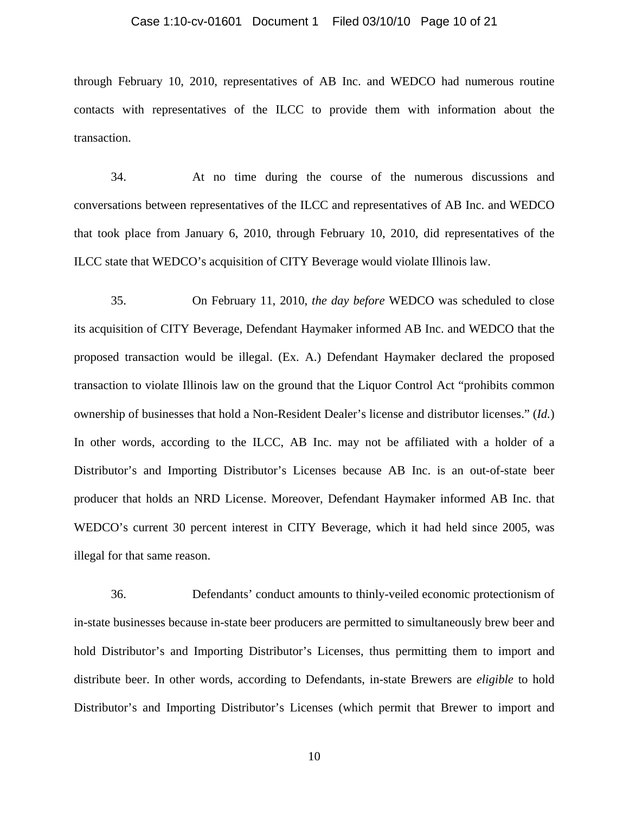## Case 1:10-cv-01601 Document 1 Filed 03/10/10 Page 10 of 21

through February 10, 2010, representatives of AB Inc. and WEDCO had numerous routine contacts with representatives of the ILCC to provide them with information about the transaction.

34. At no time during the course of the numerous discussions and conversations between representatives of the ILCC and representatives of AB Inc. and WEDCO that took place from January 6, 2010, through February 10, 2010, did representatives of the ILCC state that WEDCO's acquisition of CITY Beverage would violate Illinois law.

35. On February 11, 2010, *the day before* WEDCO was scheduled to close its acquisition of CITY Beverage, Defendant Haymaker informed AB Inc. and WEDCO that the proposed transaction would be illegal. (Ex. A.) Defendant Haymaker declared the proposed transaction to violate Illinois law on the ground that the Liquor Control Act "prohibits common ownership of businesses that hold a Non-Resident Dealer's license and distributor licenses." (*Id.*) In other words, according to the ILCC, AB Inc. may not be affiliated with a holder of a Distributor's and Importing Distributor's Licenses because AB Inc. is an out-of-state beer producer that holds an NRD License. Moreover, Defendant Haymaker informed AB Inc. that WEDCO's current 30 percent interest in CITY Beverage, which it had held since 2005, was illegal for that same reason.

36. Defendants' conduct amounts to thinly-veiled economic protectionism of in-state businesses because in-state beer producers are permitted to simultaneously brew beer and hold Distributor's and Importing Distributor's Licenses, thus permitting them to import and distribute beer. In other words, according to Defendants, in-state Brewers are *eligible* to hold Distributor's and Importing Distributor's Licenses (which permit that Brewer to import and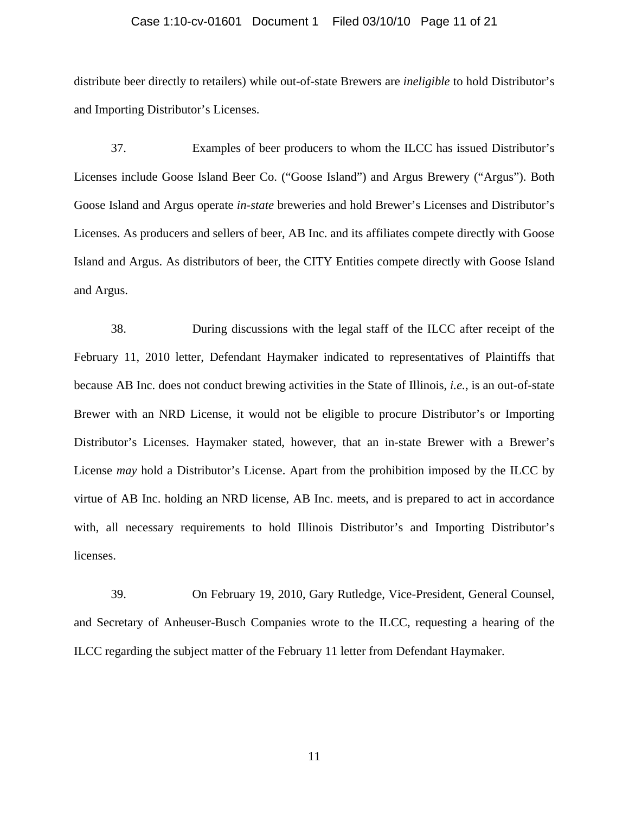#### Case 1:10-cv-01601 Document 1 Filed 03/10/10 Page 11 of 21

distribute beer directly to retailers) while out-of-state Brewers are *ineligible* to hold Distributor's and Importing Distributor's Licenses.

37. Examples of beer producers to whom the ILCC has issued Distributor's Licenses include Goose Island Beer Co. ("Goose Island") and Argus Brewery ("Argus"). Both Goose Island and Argus operate *in-state* breweries and hold Brewer's Licenses and Distributor's Licenses. As producers and sellers of beer, AB Inc. and its affiliates compete directly with Goose Island and Argus. As distributors of beer, the CITY Entities compete directly with Goose Island and Argus.

38. During discussions with the legal staff of the ILCC after receipt of the February 11, 2010 letter, Defendant Haymaker indicated to representatives of Plaintiffs that because AB Inc. does not conduct brewing activities in the State of Illinois, *i.e.*, is an out-of-state Brewer with an NRD License, it would not be eligible to procure Distributor's or Importing Distributor's Licenses. Haymaker stated, however, that an in-state Brewer with a Brewer's License *may* hold a Distributor's License. Apart from the prohibition imposed by the ILCC by virtue of AB Inc. holding an NRD license, AB Inc. meets, and is prepared to act in accordance with, all necessary requirements to hold Illinois Distributor's and Importing Distributor's licenses.

39. On February 19, 2010, Gary Rutledge, Vice-President, General Counsel, and Secretary of Anheuser-Busch Companies wrote to the ILCC, requesting a hearing of the ILCC regarding the subject matter of the February 11 letter from Defendant Haymaker.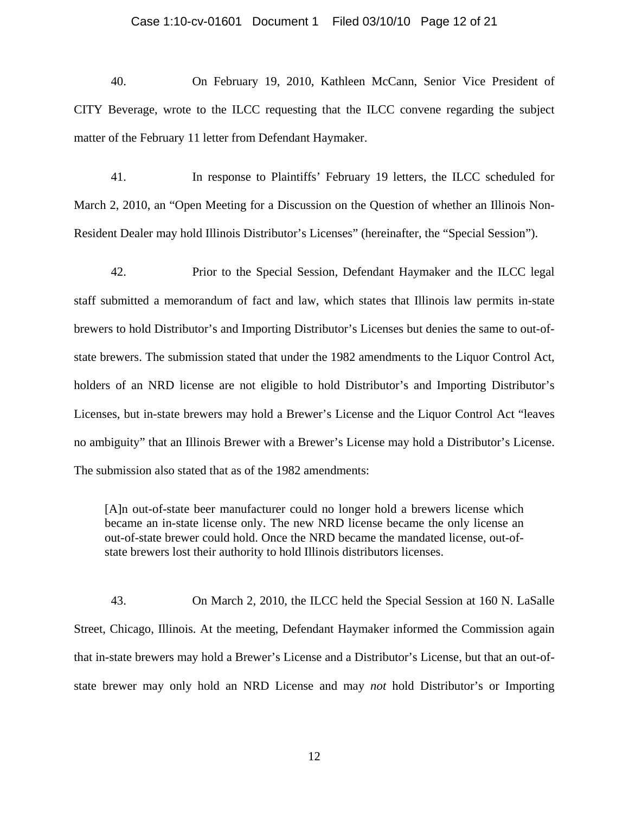# Case 1:10-cv-01601 Document 1 Filed 03/10/10 Page 12 of 21

40. On February 19, 2010, Kathleen McCann, Senior Vice President of CITY Beverage, wrote to the ILCC requesting that the ILCC convene regarding the subject matter of the February 11 letter from Defendant Haymaker.

41. In response to Plaintiffs' February 19 letters, the ILCC scheduled for March 2, 2010, an "Open Meeting for a Discussion on the Question of whether an Illinois Non-Resident Dealer may hold Illinois Distributor's Licenses" (hereinafter, the "Special Session").

42. Prior to the Special Session, Defendant Haymaker and the ILCC legal staff submitted a memorandum of fact and law, which states that Illinois law permits in-state brewers to hold Distributor's and Importing Distributor's Licenses but denies the same to out-ofstate brewers. The submission stated that under the 1982 amendments to the Liquor Control Act, holders of an NRD license are not eligible to hold Distributor's and Importing Distributor's Licenses, but in-state brewers may hold a Brewer's License and the Liquor Control Act "leaves no ambiguity" that an Illinois Brewer with a Brewer's License may hold a Distributor's License. The submission also stated that as of the 1982 amendments:

[A]n out-of-state beer manufacturer could no longer hold a brewers license which became an in-state license only. The new NRD license became the only license an out-of-state brewer could hold. Once the NRD became the mandated license, out-ofstate brewers lost their authority to hold Illinois distributors licenses.

43. On March 2, 2010, the ILCC held the Special Session at 160 N. LaSalle Street, Chicago, Illinois. At the meeting, Defendant Haymaker informed the Commission again that in-state brewers may hold a Brewer's License and a Distributor's License, but that an out-ofstate brewer may only hold an NRD License and may *not* hold Distributor's or Importing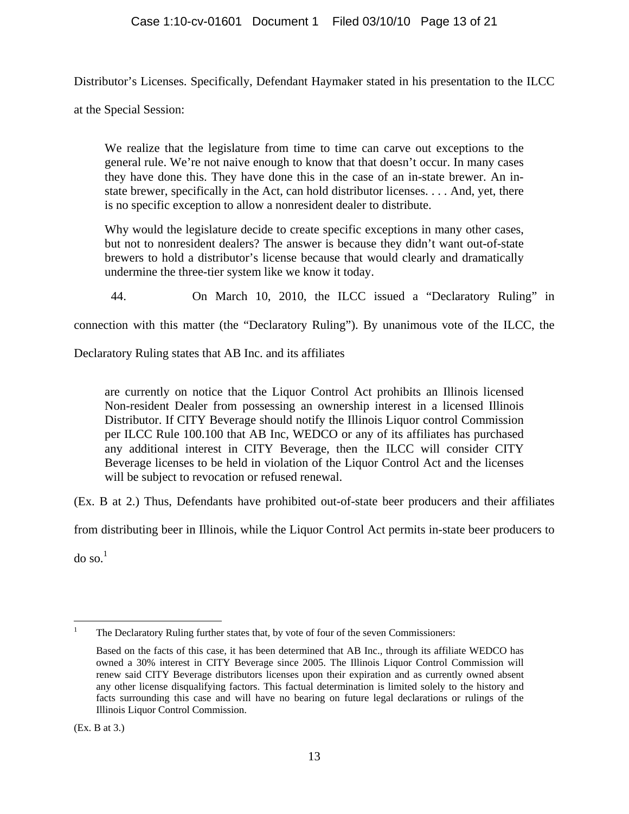Distributor's Licenses. Specifically, Defendant Haymaker stated in his presentation to the ILCC

at the Special Session:

We realize that the legislature from time to time can carve out exceptions to the general rule. We're not naive enough to know that that doesn't occur. In many cases they have done this. They have done this in the case of an in-state brewer. An instate brewer, specifically in the Act, can hold distributor licenses. . . . And, yet, there is no specific exception to allow a nonresident dealer to distribute.

Why would the legislature decide to create specific exceptions in many other cases, but not to nonresident dealers? The answer is because they didn't want out-of-state brewers to hold a distributor's license because that would clearly and dramatically undermine the three-tier system like we know it today.

44. On March 10, 2010, the ILCC issued a "Declaratory Ruling" in

connection with this matter (the "Declaratory Ruling"). By unanimous vote of the ILCC, the

Declaratory Ruling states that AB Inc. and its affiliates

are currently on notice that the Liquor Control Act prohibits an Illinois licensed Non-resident Dealer from possessing an ownership interest in a licensed Illinois Distributor. If CITY Beverage should notify the Illinois Liquor control Commission per ILCC Rule 100.100 that AB Inc, WEDCO or any of its affiliates has purchased any additional interest in CITY Beverage, then the ILCC will consider CITY Beverage licenses to be held in violation of the Liquor Control Act and the licenses will be subject to revocation or refused renewal.

(Ex. B at 2.) Thus, Defendants have prohibited out-of-state beer producers and their affiliates

from distributing beer in Illinois, while the Liquor Control Act permits in-state beer producers to

 $d$ o so.<sup>1</sup>

 $\frac{1}{1}$ The Declaratory Ruling further states that, by vote of four of the seven Commissioners:

Based on the facts of this case, it has been determined that AB Inc., through its affiliate WEDCO has owned a 30% interest in CITY Beverage since 2005. The Illinois Liquor Control Commission will renew said CITY Beverage distributors licenses upon their expiration and as currently owned absent any other license disqualifying factors. This factual determination is limited solely to the history and facts surrounding this case and will have no bearing on future legal declarations or rulings of the Illinois Liquor Control Commission.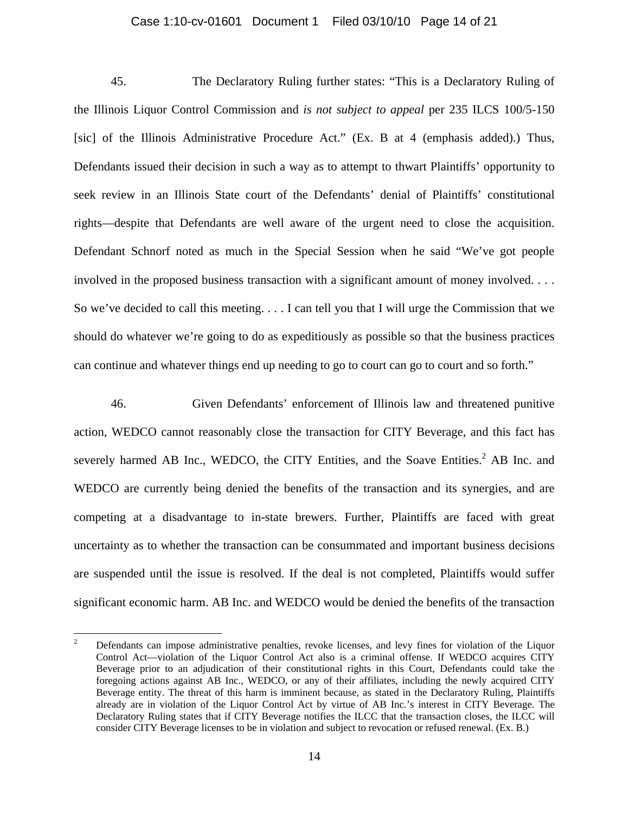# Case 1:10-cv-01601 Document 1 Filed 03/10/10 Page 14 of 21

45. The Declaratory Ruling further states: "This is a Declaratory Ruling of the Illinois Liquor Control Commission and *is not subject to appeal* per 235 ILCS 100/5-150 [sic] of the Illinois Administrative Procedure Act." (Ex. B at 4 (emphasis added).) Thus, Defendants issued their decision in such a way as to attempt to thwart Plaintiffs' opportunity to seek review in an Illinois State court of the Defendants' denial of Plaintiffs' constitutional rights—despite that Defendants are well aware of the urgent need to close the acquisition. Defendant Schnorf noted as much in the Special Session when he said "We've got people involved in the proposed business transaction with a significant amount of money involved. . . . So we've decided to call this meeting. . . . I can tell you that I will urge the Commission that we should do whatever we're going to do as expeditiously as possible so that the business practices can continue and whatever things end up needing to go to court can go to court and so forth."

46. Given Defendants' enforcement of Illinois law and threatened punitive action, WEDCO cannot reasonably close the transaction for CITY Beverage, and this fact has severely harmed AB Inc., WEDCO, the CITY Entities, and the Soave Entities.<sup>2</sup> AB Inc. and WEDCO are currently being denied the benefits of the transaction and its synergies, and are competing at a disadvantage to in-state brewers. Further, Plaintiffs are faced with great uncertainty as to whether the transaction can be consummated and important business decisions are suspended until the issue is resolved. If the deal is not completed, Plaintiffs would suffer significant economic harm. AB Inc. and WEDCO would be denied the benefits of the transaction

 $\frac{1}{2}$  Defendants can impose administrative penalties, revoke licenses, and levy fines for violation of the Liquor Control Act—violation of the Liquor Control Act also is a criminal offense. If WEDCO acquires CITY Beverage prior to an adjudication of their constitutional rights in this Court, Defendants could take the foregoing actions against AB Inc., WEDCO, or any of their affiliates, including the newly acquired CITY Beverage entity. The threat of this harm is imminent because, as stated in the Declaratory Ruling, Plaintiffs already are in violation of the Liquor Control Act by virtue of AB Inc.'s interest in CITY Beverage. The Declaratory Ruling states that if CITY Beverage notifies the ILCC that the transaction closes, the ILCC will consider CITY Beverage licenses to be in violation and subject to revocation or refused renewal. (Ex. B.)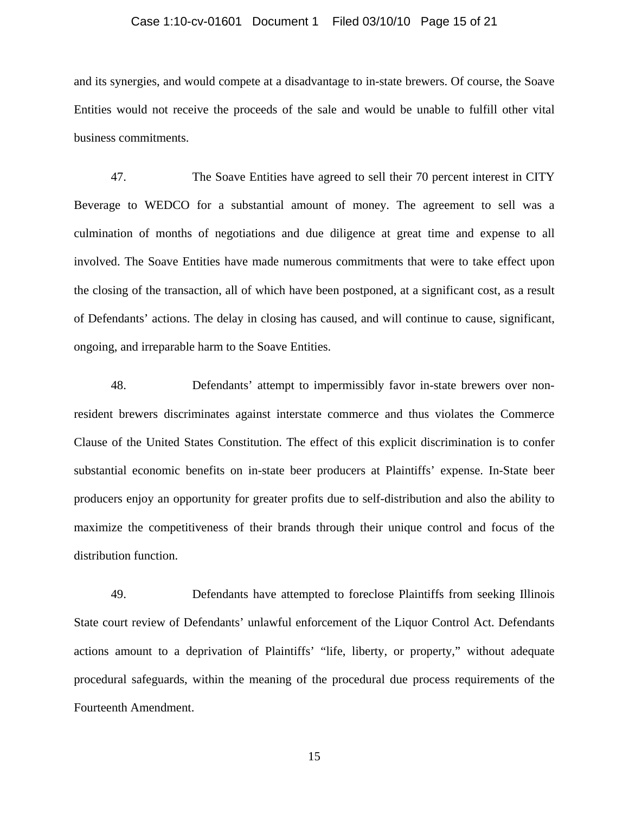## Case 1:10-cv-01601 Document 1 Filed 03/10/10 Page 15 of 21

and its synergies, and would compete at a disadvantage to in-state brewers. Of course, the Soave Entities would not receive the proceeds of the sale and would be unable to fulfill other vital business commitments.

47. The Soave Entities have agreed to sell their 70 percent interest in CITY Beverage to WEDCO for a substantial amount of money. The agreement to sell was a culmination of months of negotiations and due diligence at great time and expense to all involved. The Soave Entities have made numerous commitments that were to take effect upon the closing of the transaction, all of which have been postponed, at a significant cost, as a result of Defendants' actions. The delay in closing has caused, and will continue to cause, significant, ongoing, and irreparable harm to the Soave Entities.

48. Defendants' attempt to impermissibly favor in-state brewers over nonresident brewers discriminates against interstate commerce and thus violates the Commerce Clause of the United States Constitution. The effect of this explicit discrimination is to confer substantial economic benefits on in-state beer producers at Plaintiffs' expense. In-State beer producers enjoy an opportunity for greater profits due to self-distribution and also the ability to maximize the competitiveness of their brands through their unique control and focus of the distribution function.

49. Defendants have attempted to foreclose Plaintiffs from seeking Illinois State court review of Defendants' unlawful enforcement of the Liquor Control Act. Defendants actions amount to a deprivation of Plaintiffs' "life, liberty, or property," without adequate procedural safeguards, within the meaning of the procedural due process requirements of the Fourteenth Amendment.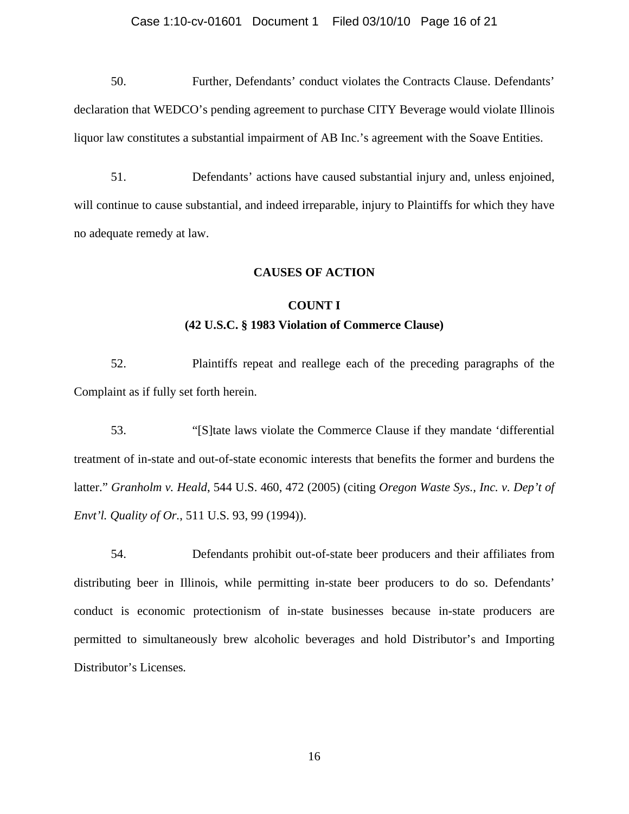## Case 1:10-cv-01601 Document 1 Filed 03/10/10 Page 16 of 21

50. Further, Defendants' conduct violates the Contracts Clause. Defendants' declaration that WEDCO's pending agreement to purchase CITY Beverage would violate Illinois liquor law constitutes a substantial impairment of AB Inc.'s agreement with the Soave Entities.

51. Defendants' actions have caused substantial injury and, unless enjoined, will continue to cause substantial, and indeed irreparable, injury to Plaintiffs for which they have no adequate remedy at law.

# **CAUSES OF ACTION**

# **COUNT I (42 U.S.C. § 1983 Violation of Commerce Clause)**

52. Plaintiffs repeat and reallege each of the preceding paragraphs of the Complaint as if fully set forth herein.

53. "[S]tate laws violate the Commerce Clause if they mandate 'differential treatment of in-state and out-of-state economic interests that benefits the former and burdens the latter." *Granholm v. Heald*, 544 U.S. 460, 472 (2005) (citing *Oregon Waste Sys., Inc. v. Dep't of Envt'l. Quality of Or.*, 511 U.S. 93, 99 (1994)).

54. Defendants prohibit out-of-state beer producers and their affiliates from distributing beer in Illinois, while permitting in-state beer producers to do so. Defendants' conduct is economic protectionism of in-state businesses because in-state producers are permitted to simultaneously brew alcoholic beverages and hold Distributor's and Importing Distributor's Licenses*.*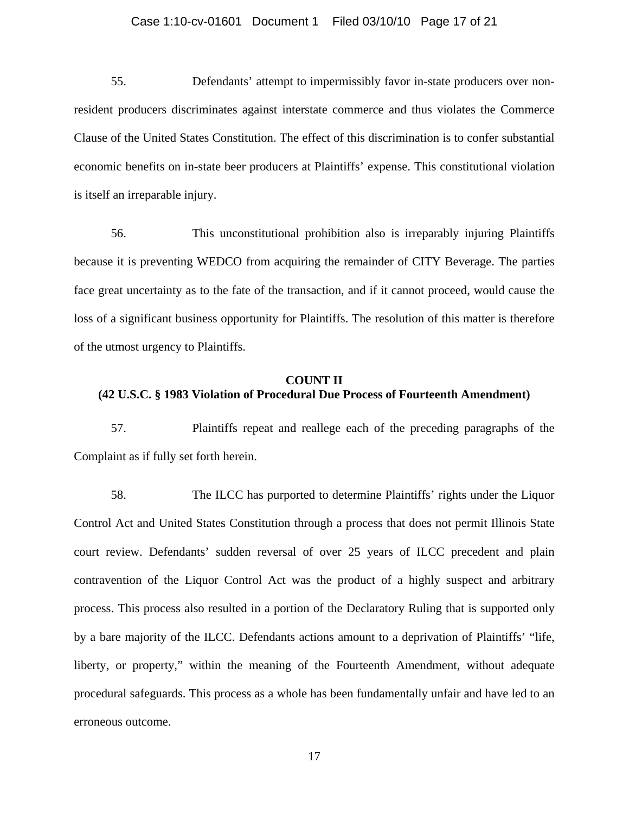# Case 1:10-cv-01601 Document 1 Filed 03/10/10 Page 17 of 21

55. Defendants' attempt to impermissibly favor in-state producers over nonresident producers discriminates against interstate commerce and thus violates the Commerce Clause of the United States Constitution. The effect of this discrimination is to confer substantial economic benefits on in-state beer producers at Plaintiffs' expense. This constitutional violation is itself an irreparable injury.

56. This unconstitutional prohibition also is irreparably injuring Plaintiffs because it is preventing WEDCO from acquiring the remainder of CITY Beverage. The parties face great uncertainty as to the fate of the transaction, and if it cannot proceed, would cause the loss of a significant business opportunity for Plaintiffs. The resolution of this matter is therefore of the utmost urgency to Plaintiffs.

# **COUNT II (42 U.S.C. § 1983 Violation of Procedural Due Process of Fourteenth Amendment)**

57. Plaintiffs repeat and reallege each of the preceding paragraphs of the Complaint as if fully set forth herein.

58. The ILCC has purported to determine Plaintiffs' rights under the Liquor Control Act and United States Constitution through a process that does not permit Illinois State court review. Defendants' sudden reversal of over 25 years of ILCC precedent and plain contravention of the Liquor Control Act was the product of a highly suspect and arbitrary process. This process also resulted in a portion of the Declaratory Ruling that is supported only by a bare majority of the ILCC. Defendants actions amount to a deprivation of Plaintiffs' "life, liberty, or property," within the meaning of the Fourteenth Amendment, without adequate procedural safeguards. This process as a whole has been fundamentally unfair and have led to an erroneous outcome.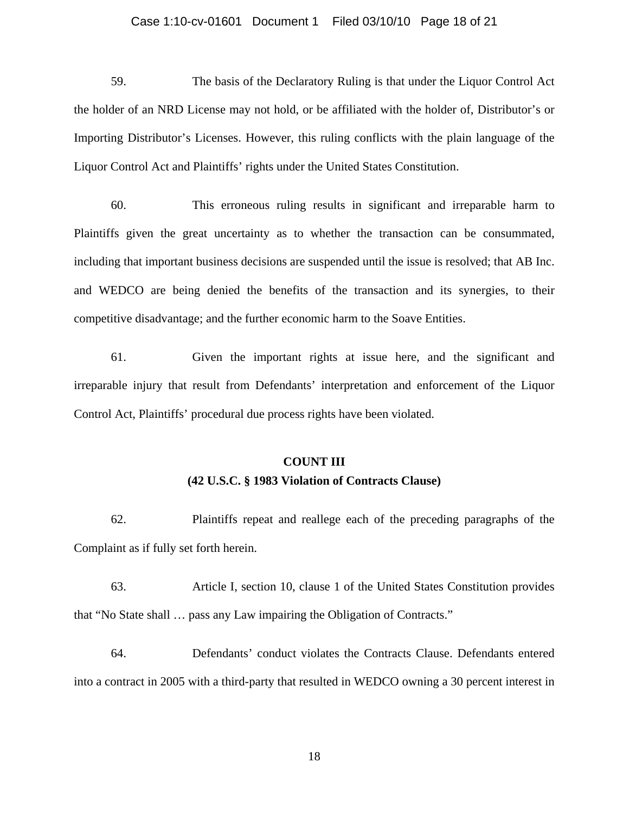# Case 1:10-cv-01601 Document 1 Filed 03/10/10 Page 18 of 21

59. The basis of the Declaratory Ruling is that under the Liquor Control Act the holder of an NRD License may not hold, or be affiliated with the holder of, Distributor's or Importing Distributor's Licenses. However, this ruling conflicts with the plain language of the Liquor Control Act and Plaintiffs' rights under the United States Constitution.

60. This erroneous ruling results in significant and irreparable harm to Plaintiffs given the great uncertainty as to whether the transaction can be consummated, including that important business decisions are suspended until the issue is resolved; that AB Inc. and WEDCO are being denied the benefits of the transaction and its synergies, to their competitive disadvantage; and the further economic harm to the Soave Entities.

61. Given the important rights at issue here, and the significant and irreparable injury that result from Defendants' interpretation and enforcement of the Liquor Control Act, Plaintiffs' procedural due process rights have been violated.

# **COUNT III (42 U.S.C. § 1983 Violation of Contracts Clause)**

62. Plaintiffs repeat and reallege each of the preceding paragraphs of the Complaint as if fully set forth herein.

63. Article I, section 10, clause 1 of the United States Constitution provides that "No State shall … pass any Law impairing the Obligation of Contracts."

64. Defendants' conduct violates the Contracts Clause. Defendants entered into a contract in 2005 with a third-party that resulted in WEDCO owning a 30 percent interest in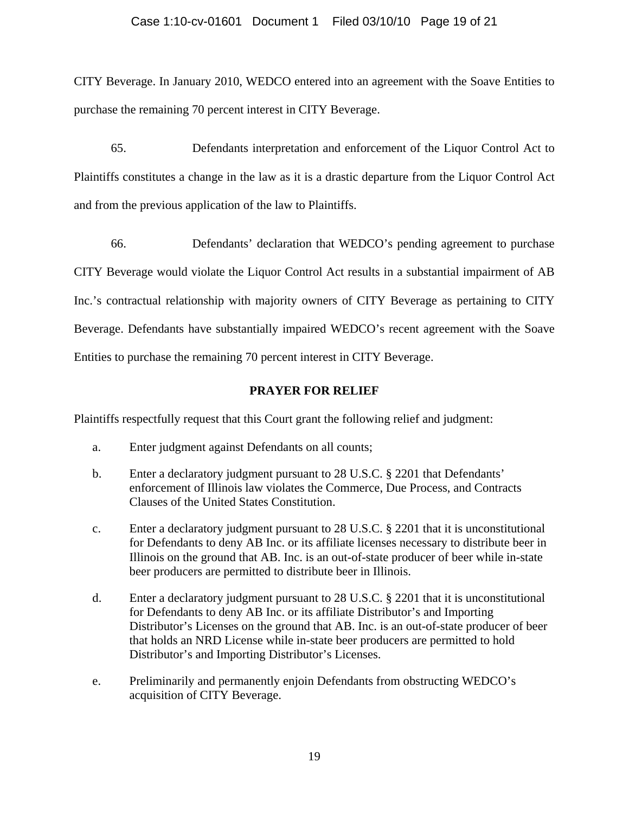# Case 1:10-cv-01601 Document 1 Filed 03/10/10 Page 19 of 21

CITY Beverage. In January 2010, WEDCO entered into an agreement with the Soave Entities to purchase the remaining 70 percent interest in CITY Beverage.

65. Defendants interpretation and enforcement of the Liquor Control Act to Plaintiffs constitutes a change in the law as it is a drastic departure from the Liquor Control Act and from the previous application of the law to Plaintiffs.

66. Defendants' declaration that WEDCO's pending agreement to purchase CITY Beverage would violate the Liquor Control Act results in a substantial impairment of AB Inc.'s contractual relationship with majority owners of CITY Beverage as pertaining to CITY Beverage. Defendants have substantially impaired WEDCO's recent agreement with the Soave Entities to purchase the remaining 70 percent interest in CITY Beverage.

# **PRAYER FOR RELIEF**

Plaintiffs respectfully request that this Court grant the following relief and judgment:

- a. Enter judgment against Defendants on all counts;
- b. Enter a declaratory judgment pursuant to 28 U.S.C. § 2201 that Defendants' enforcement of Illinois law violates the Commerce, Due Process, and Contracts Clauses of the United States Constitution.
- c. Enter a declaratory judgment pursuant to 28 U.S.C. § 2201 that it is unconstitutional for Defendants to deny AB Inc. or its affiliate licenses necessary to distribute beer in Illinois on the ground that AB. Inc. is an out-of-state producer of beer while in-state beer producers are permitted to distribute beer in Illinois.
- d. Enter a declaratory judgment pursuant to 28 U.S.C. § 2201 that it is unconstitutional for Defendants to deny AB Inc. or its affiliate Distributor's and Importing Distributor's Licenses on the ground that AB. Inc. is an out-of-state producer of beer that holds an NRD License while in-state beer producers are permitted to hold Distributor's and Importing Distributor's Licenses.
- e. Preliminarily and permanently enjoin Defendants from obstructing WEDCO's acquisition of CITY Beverage.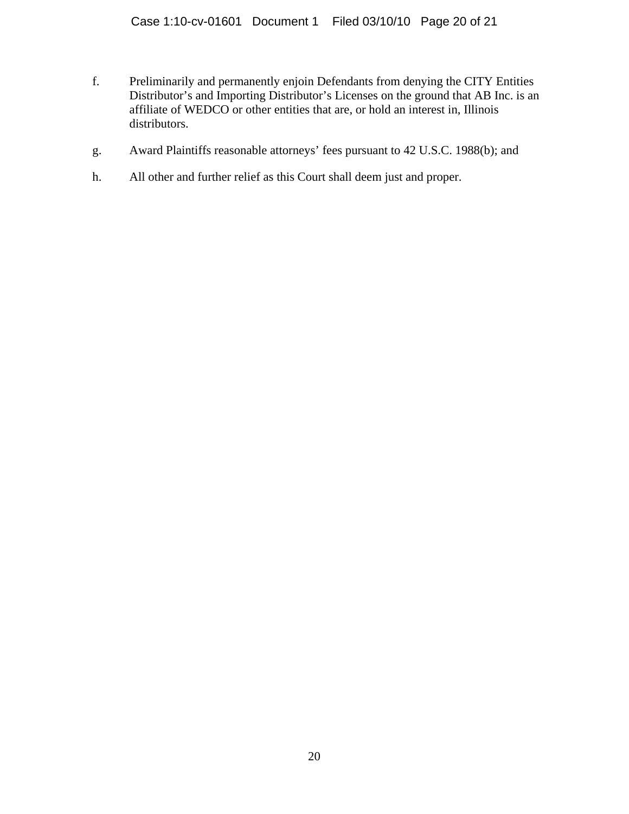- f. Preliminarily and permanently enjoin Defendants from denying the CITY Entities Distributor's and Importing Distributor's Licenses on the ground that AB Inc. is an affiliate of WEDCO or other entities that are, or hold an interest in, Illinois distributors.
- g. Award Plaintiffs reasonable attorneys' fees pursuant to 42 U.S.C. 1988(b); and
- h. All other and further relief as this Court shall deem just and proper.